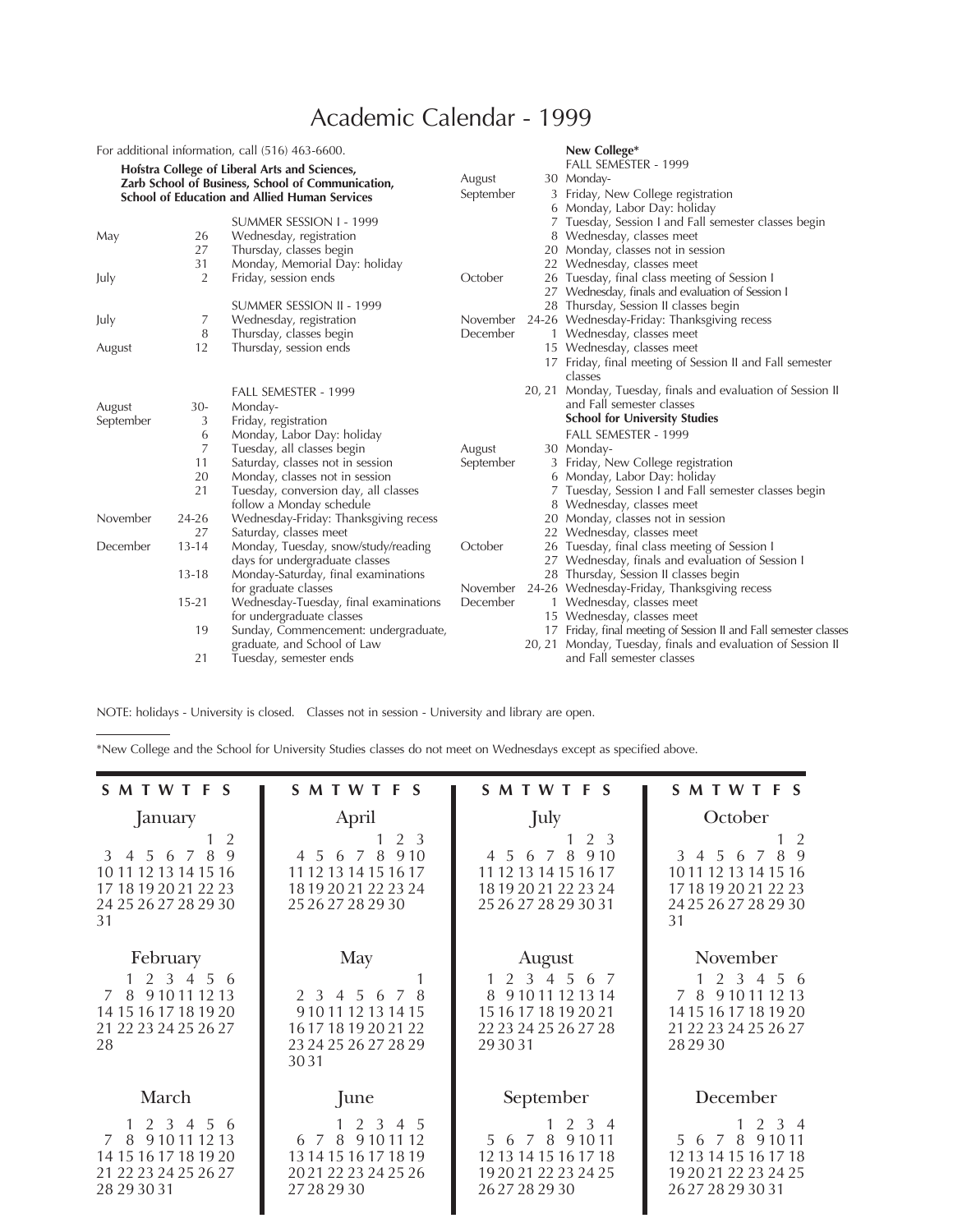## Academic Calendar - 1999

| For additional information, call (516) 463-6600.<br>Hofstra College of Liberal Arts and Sciences,<br>Zarb School of Business, School of Communication,<br><b>School of Education and Allied Human Services</b> |                |                                                                                                                | August<br>September  |        | New College*<br>FALL SEMESTER - 1999<br>30 Monday-<br>3 Friday, New College registration<br>6 Monday, Labor Day: holiday                                         |
|----------------------------------------------------------------------------------------------------------------------------------------------------------------------------------------------------------------|----------------|----------------------------------------------------------------------------------------------------------------|----------------------|--------|------------------------------------------------------------------------------------------------------------------------------------------------------------------|
| May                                                                                                                                                                                                            | 26<br>27<br>31 | SUMMER SESSION I - 1999<br>Wednesday, registration<br>Thursday, classes begin<br>Monday, Memorial Day: holiday |                      |        | 7 Tuesday, Session I and Fall semester classes begin<br>8 Wednesday, classes meet<br>20 Monday, classes not in session<br>22 Wednesday, classes meet             |
| July                                                                                                                                                                                                           | $\overline{2}$ | Friday, session ends<br>SUMMER SESSION II - 1999                                                               | October              |        | 26 Tuesday, final class meeting of Session I<br>27 Wednesday, finals and evaluation of Session I<br>28 Thursday, Session II classes begin                        |
| July                                                                                                                                                                                                           | 7<br>8         | Wednesday, registration<br>Thursday, classes begin                                                             | November<br>December |        | 24-26 Wednesday-Friday: Thanksgiving recess<br>1 Wednesday, classes meet                                                                                         |
| August                                                                                                                                                                                                         | 12             | Thursday, session ends<br>FALL SEMESTER - 1999                                                                 |                      |        | 15 Wednesday, classes meet<br>17 Friday, final meeting of Session II and Fall semester<br>classes<br>20, 21 Monday, Tuesday, finals and evaluation of Session II |
| August                                                                                                                                                                                                         | $30-$          | Monday-                                                                                                        |                      |        | and Fall semester classes                                                                                                                                        |
| September                                                                                                                                                                                                      | 3              | Friday, registration                                                                                           |                      |        | <b>School for University Studies</b>                                                                                                                             |
|                                                                                                                                                                                                                | 6<br>7         | Monday, Labor Day: holiday<br>Tuesday, all classes begin                                                       | August               |        | FALL SEMESTER - 1999<br>30 Monday-                                                                                                                               |
|                                                                                                                                                                                                                | 11             | Saturday, classes not in session                                                                               | September            |        | 3 Friday, New College registration                                                                                                                               |
|                                                                                                                                                                                                                | 20             | Monday, classes not in session                                                                                 |                      |        | 6 Monday, Labor Day: holiday                                                                                                                                     |
|                                                                                                                                                                                                                | 21             | Tuesday, conversion day, all classes<br>follow a Monday schedule                                               |                      |        | Tuesday, Session I and Fall semester classes begin<br>8 Wednesday, classes meet                                                                                  |
| November                                                                                                                                                                                                       | $24 - 26$      | Wednesday-Friday: Thanksgiving recess                                                                          |                      |        | 20 Monday, classes not in session                                                                                                                                |
|                                                                                                                                                                                                                | 27             | Saturday, classes meet                                                                                         |                      |        | 22 Wednesday, classes meet                                                                                                                                       |
| December                                                                                                                                                                                                       | $13 - 14$      | Monday, Tuesday, snow/study/reading<br>days for undergraduate classes                                          | October              |        | 26 Tuesday, final class meeting of Session I<br>27 Wednesday, finals and evaluation of Session I                                                                 |
|                                                                                                                                                                                                                | $13 - 18$      | Monday-Saturday, final examinations<br>for graduate classes                                                    | November             |        | 28 Thursday, Session II classes begin<br>24-26 Wednesday-Friday, Thanksgiving recess                                                                             |
|                                                                                                                                                                                                                | $15 - 21$      | Wednesday-Tuesday, final examinations<br>for undergraduate classes                                             | December             |        | 1 Wednesday, classes meet<br>15 Wednesday, classes meet                                                                                                          |
|                                                                                                                                                                                                                | 19             | Sunday, Commencement: undergraduate,<br>graduate, and School of Law                                            |                      | 20, 21 | 17 Friday, final meeting of Session II and Fall semester classes<br>Monday, Tuesday, finals and evaluation of Session II                                         |
|                                                                                                                                                                                                                | 21             | Tuesday, semester ends                                                                                         |                      |        | and Fall semester classes                                                                                                                                        |

NOTE: holidays - University is closed. Classes not in session - University and library are open.

\*New College and the School for University Studies classes do not meet on Wednesdays except as specified above.

| SMTWTFS                                                                                                                      | SMTWTFS                                                                                                       | SMTWTFS                                                                                                                       | SMTWTFS                                                                                                             |
|------------------------------------------------------------------------------------------------------------------------------|---------------------------------------------------------------------------------------------------------------|-------------------------------------------------------------------------------------------------------------------------------|---------------------------------------------------------------------------------------------------------------------|
| January<br>2<br>8<br>$\mathbf{Q}$<br>3 4 5 6 7<br>10 11 12 13 14 15 16<br>17 18 19 20 21 22 23<br>24 25 26 27 28 29 30<br>31 | April<br>2 3<br>1<br>4 5 6 7 8 9 10<br>11 12 13 14 15 16 17<br>18 19 20 21 22 23 24<br>25 26 27 28 29 30      | July<br>2 3<br>T.<br>4 5 6 7 8<br>9.10<br>11 12 13 14 15 16 17<br>18 19 20 21 22 23 24<br>25 26 27 28 29 30 31                | October<br>-2<br>89<br>3 4 5 6 7<br>10 11 12 13 14 15 16<br>17 18 19 20 21 22 23<br>24 25 26 27 28 29 30<br>31      |
| February<br>56<br>$1 \t2 \t3 \t4$<br>9 10 11 12 13<br>8<br>7<br>14 15 16 17 18 19 20<br>21 22 23 24 25 26 27<br>28           | May<br>2, 3, 4, 5, 6<br>8<br>7<br>9 10 11 12 13 14 15<br>16 17 18 19 20 21 22<br>23 24 25 26 27 28 29<br>3031 | August<br>2 3 4 5<br>6 7<br>$\mathbf{1}$<br>9 10 11 12 13 14<br>8<br>15 16 17 18 19 20 21<br>22 23 24 25 26 27 28<br>29 30 31 | November<br>2 3 4 5 6<br>7 8 9 10 11 12 13<br>14 15 16 17 18 19 20<br>21 22 23 24 25 26 27<br>28 29 30              |
| March<br>1 2 3 4 5 6<br>9 10 11 12 13<br>8<br>$\overline{7}$<br>14 15 16 17 18 19 20<br>21 22 23 24 25 26 27<br>28 29 30 31  | June<br>2 3 4 5<br>9 10 11 12<br>7<br>8<br>6<br>13 14 15 16 17 18 19<br>20 21 22 23 24 25 26<br>27282930      | September<br>$2 \t3 \t4$<br>5 6 7<br>8<br>9 1 0 1 1<br>12 13 14 15 16 17 18<br>19 20 21 22 23 24 25<br>2627282930             | December<br>$1 \t2 \t3 \t4$<br>5 6 7 8 9 10 11<br>12 13 14 15 16 17 18<br>19 20 21 22 23 24 25<br>26 27 28 29 30 31 |